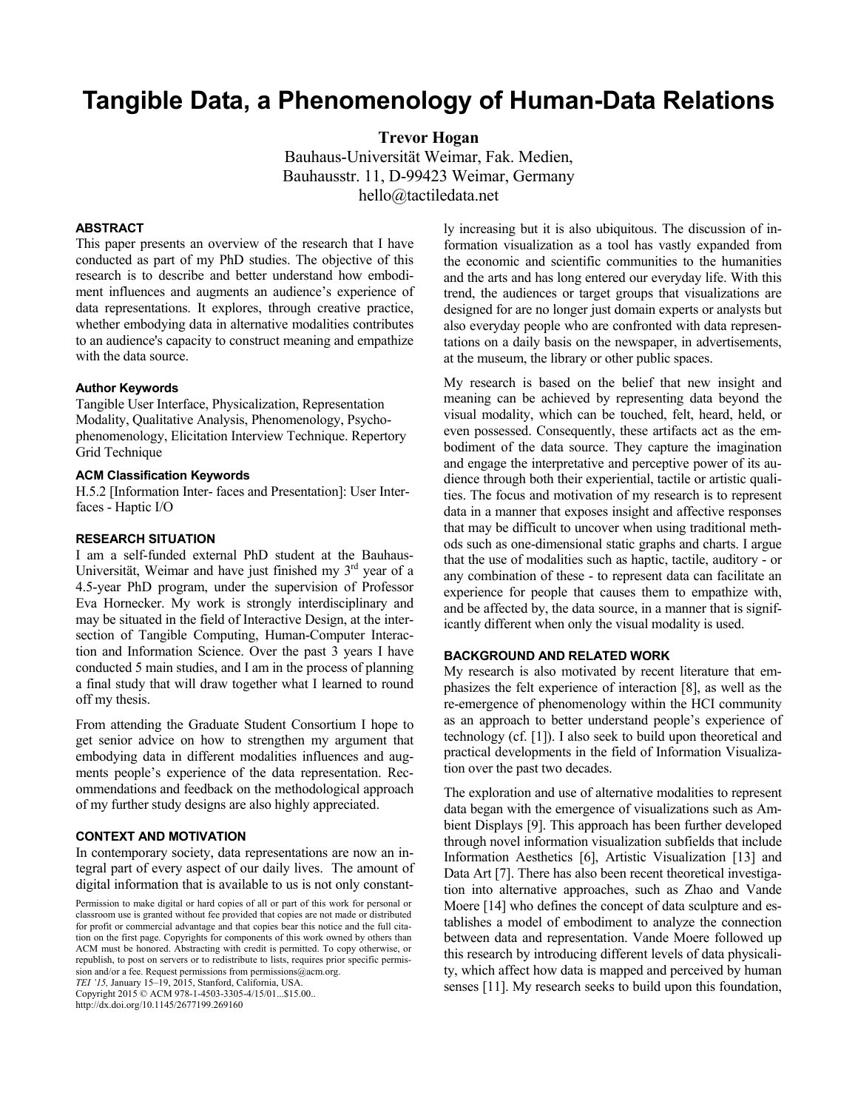# **Tangible Data, a Phenomenology of Human-Data Relations**

**Trevor Hogan** 

Bauhaus-Universität Weimar, Fak. Medien, Bauhausstr. 11, D-99423 Weimar, Germany hello@tactiledata.net

# **ABSTRACT**

This paper presents an overview of the research that I have conducted as part of my PhD studies. The objective of this research is to describe and better understand how embodiment influences and augments an audience's experience of data representations. It explores, through creative practice, whether embodying data in alternative modalities contributes to an audience's capacity to construct meaning and empathize with the data source.

#### **Author Keywords**

Tangible User Interface, Physicalization, Representation Modality, Qualitative Analysis, Phenomenology, Psychophenomenology, Elicitation Interview Technique. Repertory Grid Technique

#### **ACM Classification Keywords**

H.5.2 [Information Inter- faces and Presentation]: User Interfaces - Haptic I/O

#### **RESEARCH SITUATION**

I am a self-funded external PhD student at the Bauhaus-Universität, Weimar and have just finished my  $3<sup>rd</sup>$  year of a 4.5-year PhD program, under the supervision of Professor Eva Hornecker. My work is strongly interdisciplinary and may be situated in the field of Interactive Design, at the intersection of Tangible Computing, Human-Computer Interaction and Information Science. Over the past 3 years I have conducted 5 main studies, and I am in the process of planning a final study that will draw together what I learned to round off my thesis.

From attending the Graduate Student Consortium I hope to get senior advice on how to strengthen my argument that embodying data in different modalities influences and augments people's experience of the data representation. Recommendations and feedback on the methodological approach of my further study designs are also highly appreciated.

#### **CONTEXT AND MOTIVATION**

In contemporary society, data representations are now an integral part of every aspect of our daily lives. The amount of digital information that is available to us is not only constant-

Copyright 2015 © ACM 978-1-4503-3305-4/15/01...\$15.00..

http://dx.doi.org/10.1145/2677199.269160

ly increasing but it is also ubiquitous. The discussion of information visualization as a tool has vastly expanded from the economic and scientific communities to the humanities and the arts and has long entered our everyday life. With this trend, the audiences or target groups that visualizations are designed for are no longer just domain experts or analysts but also everyday people who are confronted with data representations on a daily basis on the newspaper, in advertisements, at the museum, the library or other public spaces.

My research is based on the belief that new insight and meaning can be achieved by representing data beyond the visual modality, which can be touched, felt, heard, held, or even possessed. Consequently, these artifacts act as the embodiment of the data source. They capture the imagination and engage the interpretative and perceptive power of its audience through both their experiential, tactile or artistic qualities. The focus and motivation of my research is to represent data in a manner that exposes insight and affective responses that may be difficult to uncover when using traditional methods such as one-dimensional static graphs and charts. I argue that the use of modalities such as haptic, tactile, auditory - or any combination of these - to represent data can facilitate an experience for people that causes them to empathize with, and be affected by, the data source, in a manner that is significantly different when only the visual modality is used.

# **BACKGROUND AND RELATED WORK**

My research is also motivated by recent literature that emphasizes the felt experience of interaction [8], as well as the re-emergence of phenomenology within the HCI community as an approach to better understand people's experience of technology (cf. [1]). I also seek to build upon theoretical and practical developments in the field of Information Visualization over the past two decades.

The exploration and use of alternative modalities to represent data began with the emergence of visualizations such as Ambient Displays [9]. This approach has been further developed through novel information visualization subfields that include Information Aesthetics [6], Artistic Visualization [13] and Data Art [7]. There has also been recent theoretical investigation into alternative approaches, such as Zhao and Vande Moere [14] who defines the concept of data sculpture and establishes a model of embodiment to analyze the connection between data and representation. Vande Moere followed up this research by introducing different levels of data physicality, which affect how data is mapped and perceived by human senses [11]. My research seeks to build upon this foundation,

Permission to make digital or hard copies of all or part of this work for personal or classroom use is granted without fee provided that copies are not made or distributed for profit or commercial advantage and that copies bear this notice and the full citation on the first page. Copyrights for components of this work owned by others than ACM must be honored. Abstracting with credit is permitted. To copy otherwise, or republish, to post on servers or to redistribute to lists, requires prior specific permission and/or a fee. Request permissions from permissions@acm.org. *TEI '15,* January 15–19, 2015, Stanford, California, USA.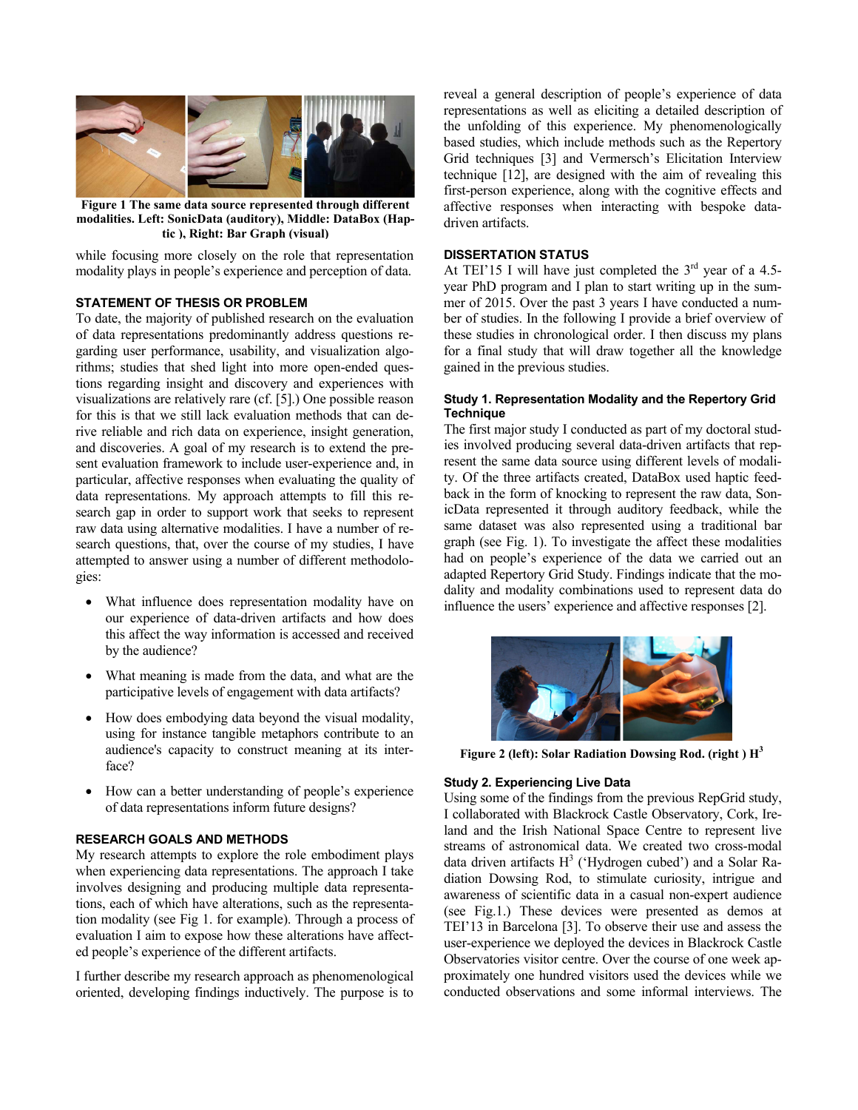

**Figure 1 The same data source represented through different modalities. Left: SonicData (auditory), Middle: DataBox (Haptic ), Right: Bar Graph (visual)**

while focusing more closely on the role that representation modality plays in people's experience and perception of data.

# **STATEMENT OF THESIS OR PROBLEM**

To date, the majority of published research on the evaluation of data representations predominantly address questions regarding user performance, usability, and visualization algorithms; studies that shed light into more open-ended questions regarding insight and discovery and experiences with visualizations are relatively rare (cf. [5].) One possible reason for this is that we still lack evaluation methods that can derive reliable and rich data on experience, insight generation, and discoveries. A goal of my research is to extend the present evaluation framework to include user-experience and, in particular, affective responses when evaluating the quality of data representations. My approach attempts to fill this research gap in order to support work that seeks to represent raw data using alternative modalities. I have a number of research questions, that, over the course of my studies, I have attempted to answer using a number of different methodologies:

- What influence does representation modality have on our experience of data-driven artifacts and how does this affect the way information is accessed and received by the audience?
- What meaning is made from the data, and what are the participative levels of engagement with data artifacts?
- How does embodying data beyond the visual modality, using for instance tangible metaphors contribute to an audience's capacity to construct meaning at its interface?
- How can a better understanding of people's experience of data representations inform future designs?

# **RESEARCH GOALS AND METHODS**

My research attempts to explore the role embodiment plays when experiencing data representations. The approach I take involves designing and producing multiple data representations, each of which have alterations, such as the representation modality (see Fig 1. for example). Through a process of evaluation I aim to expose how these alterations have affected people's experience of the different artifacts.

I further describe my research approach as phenomenological oriented, developing findings inductively. The purpose is to reveal a general description of people's experience of data representations as well as eliciting a detailed description of the unfolding of this experience. My phenomenologically based studies, which include methods such as the Repertory Grid techniques [3] and Vermersch's Elicitation Interview technique [12], are designed with the aim of revealing this first-person experience, along with the cognitive effects and affective responses when interacting with bespoke datadriven artifacts.

# **DISSERTATION STATUS**

At TEI'15 I will have just completed the  $3<sup>rd</sup>$  year of a 4.5year PhD program and I plan to start writing up in the summer of 2015. Over the past 3 years I have conducted a number of studies. In the following I provide a brief overview of these studies in chronological order. I then discuss my plans for a final study that will draw together all the knowledge gained in the previous studies.

#### **Study 1. Representation Modality and the Repertory Grid Technique**

The first major study I conducted as part of my doctoral studies involved producing several data-driven artifacts that represent the same data source using different levels of modality. Of the three artifacts created, DataBox used haptic feedback in the form of knocking to represent the raw data, SonicData represented it through auditory feedback, while the same dataset was also represented using a traditional bar graph (see Fig. 1). To investigate the affect these modalities had on people's experience of the data we carried out an adapted Repertory Grid Study. Findings indicate that the modality and modality combinations used to represent data do influence the users' experience and affective responses [2].



Figure 2 (left): Solar Radiation Dowsing Rod. (right)  $H^3$ 

# **Study 2. Experiencing Live Data**

Using some of the findings from the previous RepGrid study, I collaborated with Blackrock Castle Observatory, Cork, Ireland and the Irish National Space Centre to represent live streams of astronomical data. We created two cross-modal data driven artifacts  $H^3$  ('Hydrogen cubed') and a Solar Radiation Dowsing Rod, to stimulate curiosity, intrigue and awareness of scientific data in a casual non-expert audience (see Fig.1.) These devices were presented as demos at TEI'13 in Barcelona [3]. To observe their use and assess the user-experience we deployed the devices in Blackrock Castle Observatories visitor centre. Over the course of one week approximately one hundred visitors used the devices while we conducted observations and some informal interviews. The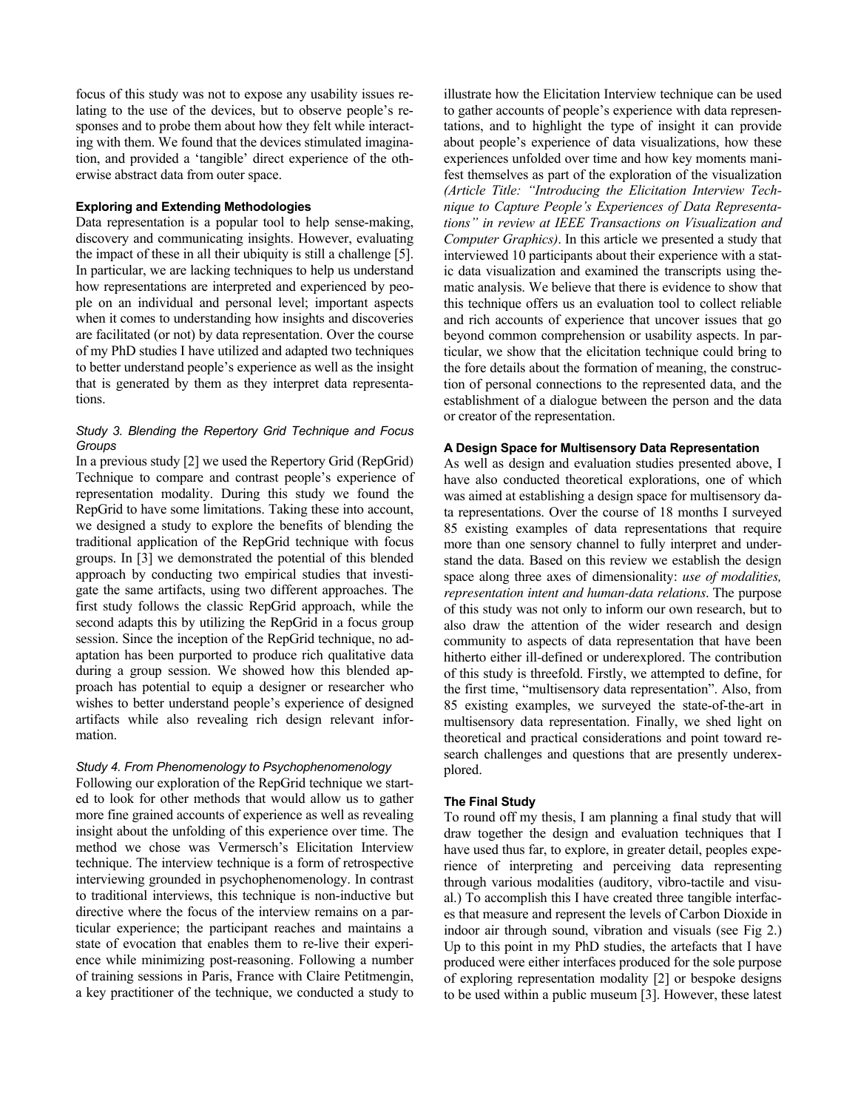focus of this study was not to expose any usability issues relating to the use of the devices, but to observe people's responses and to probe them about how they felt while interacting with them. We found that the devices stimulated imagination, and provided a 'tangible' direct experience of the otherwise abstract data from outer space.

#### **Exploring and Extending Methodologies**

Data representation is a popular tool to help sense-making, discovery and communicating insights. However, evaluating the impact of these in all their ubiquity is still a challenge [5]. In particular, we are lacking techniques to help us understand how representations are interpreted and experienced by people on an individual and personal level; important aspects when it comes to understanding how insights and discoveries are facilitated (or not) by data representation. Over the course of my PhD studies I have utilized and adapted two techniques to better understand people's experience as well as the insight that is generated by them as they interpret data representations.

#### *Study 3. Blending the Repertory Grid Technique and Focus Groups*

In a previous study [2] we used the Repertory Grid (RepGrid) Technique to compare and contrast people's experience of representation modality. During this study we found the RepGrid to have some limitations. Taking these into account, we designed a study to explore the benefits of blending the traditional application of the RepGrid technique with focus groups. In [3] we demonstrated the potential of this blended approach by conducting two empirical studies that investigate the same artifacts, using two different approaches. The first study follows the classic RepGrid approach, while the second adapts this by utilizing the RepGrid in a focus group session. Since the inception of the RepGrid technique, no adaptation has been purported to produce rich qualitative data during a group session. We showed how this blended approach has potential to equip a designer or researcher who wishes to better understand people's experience of designed artifacts while also revealing rich design relevant information.

# *Study 4. From Phenomenology to Psychophenomenology*

Following our exploration of the RepGrid technique we started to look for other methods that would allow us to gather more fine grained accounts of experience as well as revealing insight about the unfolding of this experience over time. The method we chose was Vermersch's Elicitation Interview technique. The interview technique is a form of retrospective interviewing grounded in psychophenomenology. In contrast to traditional interviews, this technique is non-inductive but directive where the focus of the interview remains on a particular experience; the participant reaches and maintains a state of evocation that enables them to re-live their experience while minimizing post-reasoning. Following a number of training sessions in Paris, France with Claire Petitmengin, a key practitioner of the technique, we conducted a study to

illustrate how the Elicitation Interview technique can be used to gather accounts of people's experience with data representations, and to highlight the type of insight it can provide about people's experience of data visualizations, how these experiences unfolded over time and how key moments manifest themselves as part of the exploration of the visualization *(Article Title: "Introducing the Elicitation Interview Technique to Capture People's Experiences of Data Representations" in review at IEEE Transactions on Visualization and Computer Graphics)*. In this article we presented a study that interviewed 10 participants about their experience with a static data visualization and examined the transcripts using thematic analysis. We believe that there is evidence to show that this technique offers us an evaluation tool to collect reliable and rich accounts of experience that uncover issues that go beyond common comprehension or usability aspects. In particular, we show that the elicitation technique could bring to the fore details about the formation of meaning, the construction of personal connections to the represented data, and the establishment of a dialogue between the person and the data or creator of the representation.

# **A Design Space for Multisensory Data Representation**

As well as design and evaluation studies presented above, I have also conducted theoretical explorations, one of which was aimed at establishing a design space for multisensory data representations. Over the course of 18 months I surveyed 85 existing examples of data representations that require more than one sensory channel to fully interpret and understand the data. Based on this review we establish the design space along three axes of dimensionality: *use of modalities, representation intent and human-data relations*. The purpose of this study was not only to inform our own research, but to also draw the attention of the wider research and design community to aspects of data representation that have been hitherto either ill-defined or underexplored. The contribution of this study is threefold. Firstly, we attempted to define, for the first time, "multisensory data representation". Also, from 85 existing examples, we surveyed the state-of-the-art in multisensory data representation. Finally, we shed light on theoretical and practical considerations and point toward research challenges and questions that are presently underexplored.

# **The Final Study**

To round off my thesis, I am planning a final study that will draw together the design and evaluation techniques that I have used thus far, to explore, in greater detail, peoples experience of interpreting and perceiving data representing through various modalities (auditory, vibro-tactile and visual.) To accomplish this I have created three tangible interfaces that measure and represent the levels of Carbon Dioxide in indoor air through sound, vibration and visuals (see Fig 2.) Up to this point in my PhD studies, the artefacts that I have produced were either interfaces produced for the sole purpose of exploring representation modality [2] or bespoke designs to be used within a public museum [3]. However, these latest